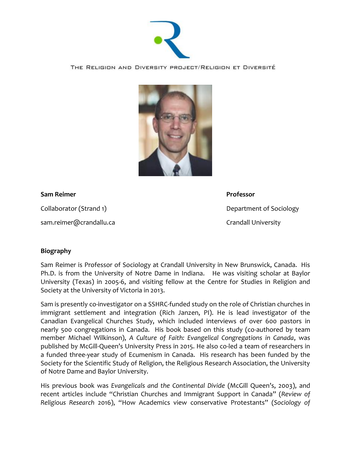

THE RELIGION AND DIVERSITY PROJECT/RELIGION ET DIVERSITÉ



## **Sam Reimer Professor**

sam.reimer@crandallu.ca Crandall University

Collaborator (Strand 1) and the collaborator (Strand 1) and the Collaborator (Strand 1)

## **Biography**

Sam Reimer is Professor of Sociology at Crandall University in New Brunswick, Canada. His Ph.D. is from the University of Notre Dame in Indiana. He was visiting scholar at Baylor University (Texas) in 2005-6, and visiting fellow at the Centre for Studies in Religion and Society at the University of Victoria in 2013.

Sam is presently co-investigator on a SSHRC-funded study on the role of Christian churches in immigrant settlement and integration (Rich Janzen, PI). He is lead investigator of the Canadian Evangelical Churches Study, which included interviews of over 600 pastors in nearly 500 congregations in Canada. His book based on this study (co-authored by team member Michael Wilkinson), *A Culture of Faith: Evangelical Congregations in Canada*, was published by McGill-Queen's University Press in 2015. He also co-led a team of researchers in a funded three-year study of Ecumenism in Canada. His research has been funded by the Society for the Scientific Study of Religion, the Religious Research Association, the University of Notre Dame and Baylor University.

His previous book was *Evangelicals and the Continental Divide* (McGill Queen's, 2003), and recent articles include "Christian Churches and Immigrant Support in Canada" (*Review of Religious Research* 2016), "How Academics view conservative Protestants" (*Sociology of*